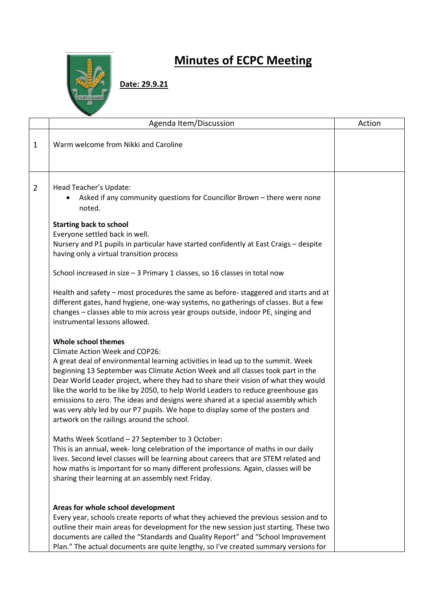

## **Minutes of ECPC Meeting**

## **Date: 29.9.21**

|                | Agenda Item/Discussion                                                                                                                                                                                                                                                                                                                                                                                                                                                                                                                                                                                                                                                                               | Action |
|----------------|------------------------------------------------------------------------------------------------------------------------------------------------------------------------------------------------------------------------------------------------------------------------------------------------------------------------------------------------------------------------------------------------------------------------------------------------------------------------------------------------------------------------------------------------------------------------------------------------------------------------------------------------------------------------------------------------------|--------|
|                |                                                                                                                                                                                                                                                                                                                                                                                                                                                                                                                                                                                                                                                                                                      |        |
| $\mathbf{1}$   | Warm welcome from Nikki and Caroline                                                                                                                                                                                                                                                                                                                                                                                                                                                                                                                                                                                                                                                                 |        |
| $\overline{2}$ | Head Teacher's Update:<br>Asked if any community questions for Councillor Brown - there were none<br>noted.<br><b>Starting back to school</b><br>Everyone settled back in well.<br>Nursery and P1 pupils in particular have started confidently at East Craigs - despite<br>having only a virtual transition process<br>School increased in size - 3 Primary 1 classes, so 16 classes in total now<br>Health and safety – most procedures the same as before-staggered and starts and at<br>different gates, hand hygiene, one-way systems, no gatherings of classes. But a few<br>changes - classes able to mix across year groups outside, indoor PE, singing and<br>instrumental lessons allowed. |        |
|                | Whole school themes<br><b>Climate Action Week and COP26:</b><br>A great deal of environmental learning activities in lead up to the summit. Week<br>beginning 13 September was Climate Action Week and all classes took part in the<br>Dear World Leader project, where they had to share their vision of what they would<br>like the world to be like by 2050, to help World Leaders to reduce greenhouse gas<br>emissions to zero. The ideas and designs were shared at a special assembly which<br>was very ably led by our P7 pupils. We hope to display some of the posters and<br>artwork on the railings around the school.                                                                   |        |
|                | Maths Week Scotland - 27 September to 3 October:<br>This is an annual, week-long celebration of the importance of maths in our daily<br>lives. Second level classes will be learning about careers that are STEM related and<br>how maths is important for so many different professions. Again, classes will be<br>sharing their learning at an assembly next Friday.                                                                                                                                                                                                                                                                                                                               |        |
|                | Areas for whole school development<br>Every year, schools create reports of what they achieved the previous session and to<br>outline their main areas for development for the new session just starting. These two<br>documents are called the "Standards and Quality Report" and "School Improvement<br>Plan." The actual documents are quite lengthy, so I've created summary versions for                                                                                                                                                                                                                                                                                                        |        |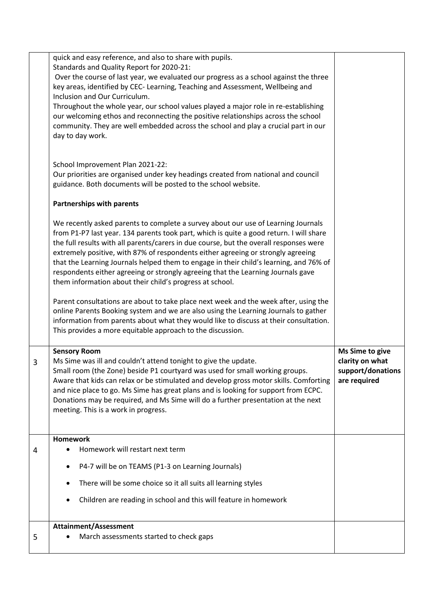|   | quick and easy reference, and also to share with pupils.<br>Standards and Quality Report for 2020-21:<br>Over the course of last year, we evaluated our progress as a school against the three<br>key areas, identified by CEC- Learning, Teaching and Assessment, Wellbeing and<br>Inclusion and Our Curriculum.<br>Throughout the whole year, our school values played a major role in re-establishing<br>our welcoming ethos and reconnecting the positive relationships across the school<br>community. They are well embedded across the school and play a crucial part in our<br>day to day work. |                                                                         |
|---|---------------------------------------------------------------------------------------------------------------------------------------------------------------------------------------------------------------------------------------------------------------------------------------------------------------------------------------------------------------------------------------------------------------------------------------------------------------------------------------------------------------------------------------------------------------------------------------------------------|-------------------------------------------------------------------------|
|   | School Improvement Plan 2021-22:<br>Our priorities are organised under key headings created from national and council<br>guidance. Both documents will be posted to the school website.                                                                                                                                                                                                                                                                                                                                                                                                                 |                                                                         |
|   | <b>Partnerships with parents</b>                                                                                                                                                                                                                                                                                                                                                                                                                                                                                                                                                                        |                                                                         |
|   | We recently asked parents to complete a survey about our use of Learning Journals<br>from P1-P7 last year. 134 parents took part, which is quite a good return. I will share<br>the full results with all parents/carers in due course, but the overall responses were<br>extremely positive, with 87% of respondents either agreeing or strongly agreeing<br>that the Learning Journals helped them to engage in their child's learning, and 76% of<br>respondents either agreeing or strongly agreeing that the Learning Journals gave<br>them information about their child's progress at school.    |                                                                         |
|   | Parent consultations are about to take place next week and the week after, using the<br>online Parents Booking system and we are also using the Learning Journals to gather<br>information from parents about what they would like to discuss at their consultation.<br>This provides a more equitable approach to the discussion.                                                                                                                                                                                                                                                                      |                                                                         |
| 3 | <b>Sensory Room</b><br>Ms Sime was ill and couldn't attend tonight to give the update.<br>Small room (the Zone) beside P1 courtyard was used for small working groups.<br>Aware that kids can relax or be stimulated and develop gross motor skills. Comforting<br>and nice place to go. Ms Sime has great plans and is looking for support from ECPC.<br>Donations may be required, and Ms Sime will do a further presentation at the next<br>meeting. This is a work in progress.                                                                                                                     | Ms Sime to give<br>clarity on what<br>support/donations<br>are required |
|   | <b>Homework</b><br>Homework will restart next term                                                                                                                                                                                                                                                                                                                                                                                                                                                                                                                                                      |                                                                         |
| 4 | P4-7 will be on TEAMS (P1-3 on Learning Journals)<br>٠                                                                                                                                                                                                                                                                                                                                                                                                                                                                                                                                                  |                                                                         |
|   | There will be some choice so it all suits all learning styles                                                                                                                                                                                                                                                                                                                                                                                                                                                                                                                                           |                                                                         |
|   | Children are reading in school and this will feature in homework                                                                                                                                                                                                                                                                                                                                                                                                                                                                                                                                        |                                                                         |
|   | <b>Attainment/Assessment</b>                                                                                                                                                                                                                                                                                                                                                                                                                                                                                                                                                                            |                                                                         |
| 5 | March assessments started to check gaps                                                                                                                                                                                                                                                                                                                                                                                                                                                                                                                                                                 |                                                                         |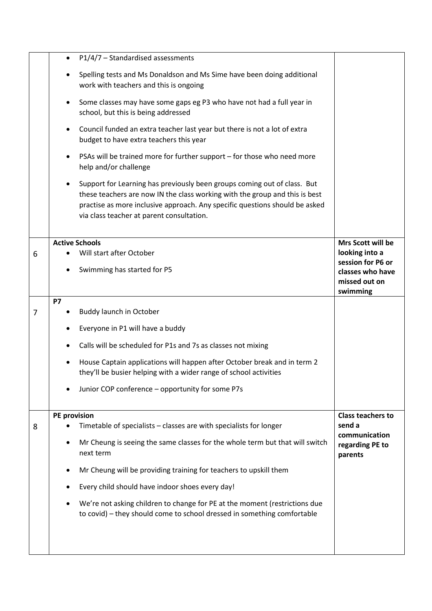|   | P1/4/7 - Standardised assessments<br>$\bullet$                                                                                                                                                                                                                                           |                                                                    |
|---|------------------------------------------------------------------------------------------------------------------------------------------------------------------------------------------------------------------------------------------------------------------------------------------|--------------------------------------------------------------------|
|   | Spelling tests and Ms Donaldson and Ms Sime have been doing additional<br>work with teachers and this is ongoing                                                                                                                                                                         |                                                                    |
|   | Some classes may have some gaps eg P3 who have not had a full year in<br>school, but this is being addressed                                                                                                                                                                             |                                                                    |
|   | Council funded an extra teacher last year but there is not a lot of extra<br>budget to have extra teachers this year                                                                                                                                                                     |                                                                    |
|   | PSAs will be trained more for further support - for those who need more<br>help and/or challenge                                                                                                                                                                                         |                                                                    |
|   | Support for Learning has previously been groups coming out of class. But<br>٠<br>these teachers are now IN the class working with the group and this is best<br>practise as more inclusive approach. Any specific questions should be asked<br>via class teacher at parent consultation. |                                                                    |
|   | <b>Active Schools</b>                                                                                                                                                                                                                                                                    | Mrs Scott will be                                                  |
| 6 | Will start after October                                                                                                                                                                                                                                                                 | looking into a                                                     |
|   | Swimming has started for P5                                                                                                                                                                                                                                                              | session for P6 or<br>classes who have<br>missed out on<br>swimming |
|   | <b>P7</b>                                                                                                                                                                                                                                                                                |                                                                    |
| 7 | Buddy launch in October                                                                                                                                                                                                                                                                  |                                                                    |
|   | Everyone in P1 will have a buddy                                                                                                                                                                                                                                                         |                                                                    |
|   | Calls will be scheduled for P1s and 7s as classes not mixing                                                                                                                                                                                                                             |                                                                    |
|   | House Captain applications will happen after October break and in term 2<br>they'll be busier helping with a wider range of school activities                                                                                                                                            |                                                                    |
|   | Junior COP conference - opportunity for some P7s                                                                                                                                                                                                                                         |                                                                    |
|   | <b>PE</b> provision                                                                                                                                                                                                                                                                      | <b>Class teachers to</b>                                           |
| 8 | Timetable of specialists - classes are with specialists for longer                                                                                                                                                                                                                       | send a<br>communication                                            |
|   | Mr Cheung is seeing the same classes for the whole term but that will switch<br>next term                                                                                                                                                                                                | regarding PE to<br>parents                                         |
|   | Mr Cheung will be providing training for teachers to upskill them                                                                                                                                                                                                                        |                                                                    |
|   | Every child should have indoor shoes every day!                                                                                                                                                                                                                                          |                                                                    |
|   | We're not asking children to change for PE at the moment (restrictions due<br>to covid) - they should come to school dressed in something comfortable                                                                                                                                    |                                                                    |
|   |                                                                                                                                                                                                                                                                                          |                                                                    |